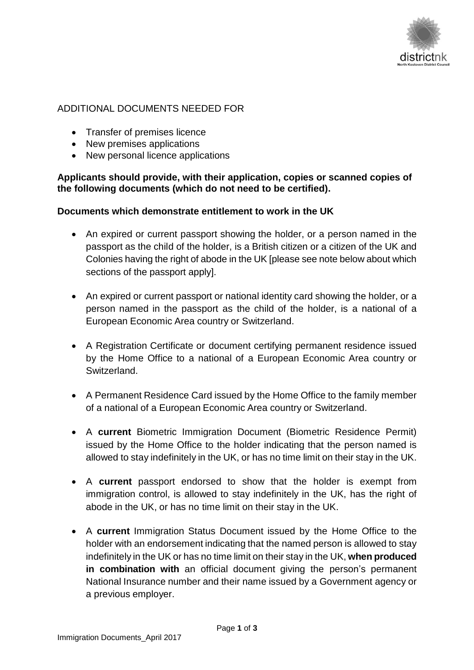

## ADDITIONAL DOCUMENTS NEEDED FOR

- Transfer of premises licence
- New premises applications
- New personal licence applications

## **Applicants should provide, with their application, copies or scanned copies of the following documents (which do not need to be certified).**

## **Documents which demonstrate entitlement to work in the UK**

- An expired or current passport showing the holder, or a person named in the passport as the child of the holder, is a British citizen or a citizen of the UK and Colonies having the right of abode in the UK [please see note below about which sections of the passport apply].
- An expired or current passport or national identity card showing the holder, or a person named in the passport as the child of the holder, is a national of a European Economic Area country or Switzerland.
- A Registration Certificate or document certifying permanent residence issued by the Home Office to a national of a European Economic Area country or Switzerland.
- A Permanent Residence Card issued by the Home Office to the family member of a national of a European Economic Area country or Switzerland.
- A **current** Biometric Immigration Document (Biometric Residence Permit) issued by the Home Office to the holder indicating that the person named is allowed to stay indefinitely in the UK, or has no time limit on their stay in the UK.
- A **current** passport endorsed to show that the holder is exempt from immigration control, is allowed to stay indefinitely in the UK, has the right of abode in the UK, or has no time limit on their stay in the UK.
- A **current** Immigration Status Document issued by the Home Office to the holder with an endorsement indicating that the named person is allowed to stay indefinitely in the UK or has no time limit on their stay in the UK, **when produced in combination with** an official document giving the person's permanent National Insurance number and their name issued by a Government agency or a previous employer.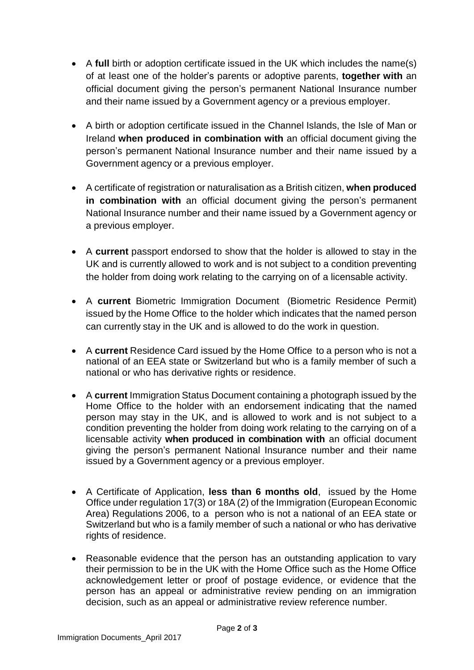- A **full** birth or adoption certificate issued in the UK which includes the name(s) of at least one of the holder's parents or adoptive parents, **together with** an official document giving the person's permanent National Insurance number and their name issued by a Government agency or a previous employer.
- A birth or adoption certificate issued in the Channel Islands, the Isle of Man or Ireland **when produced in combination with** an official document giving the person's permanent National Insurance number and their name issued by a Government agency or a previous employer.
- A certificate of registration or naturalisation as a British citizen, **when produced in combination with** an official document giving the person's permanent National Insurance number and their name issued by a Government agency or a previous employer.
- A **current** passport endorsed to show that the holder is allowed to stay in the UK and is currently allowed to work and is not subject to a condition preventing the holder from doing work relating to the carrying on of a licensable activity.
- A **current** Biometric Immigration Document (Biometric Residence Permit) issued by the Home Office to the holder which indicates that the named person can currently stay in the UK and is allowed to do the work in question.
- A **current** Residence Card issued by the Home Office to a person who is not a national of an EEA state or Switzerland but who is a family member of such a national or who has derivative rights or residence.
- A **current** Immigration Status Document containing a photograph issued by the Home Office to the holder with an endorsement indicating that the named person may stay in the UK, and is allowed to work and is not subject to a condition preventing the holder from doing work relating to the carrying on of a licensable activity **when produced in combination with** an official document giving the person's permanent National Insurance number and their name issued by a Government agency or a previous employer.
- A Certificate of Application, **less than 6 months old**, issued by the Home Office under regulation 17(3) or 18A (2) of the Immigration (European Economic Area) Regulations 2006, to a person who is not a national of an EEA state or Switzerland but who is a family member of such a national or who has derivative rights of residence.
- Reasonable evidence that the person has an outstanding application to vary their permission to be in the UK with the Home Office such as the Home Office acknowledgement letter or proof of postage evidence, or evidence that the person has an appeal or administrative review pending on an immigration decision, such as an appeal or administrative review reference number.